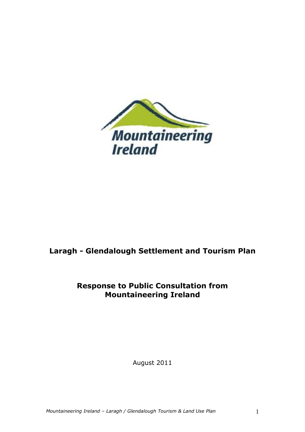

# **Laragh - Glendalough Settlement and Tourism Plan**

# **Response to Public Consultation from Mountaineering Ireland**

August 2011

*Mountaineering Ireland – Laragh / Glendalough Tourism & Land Use Plan* 1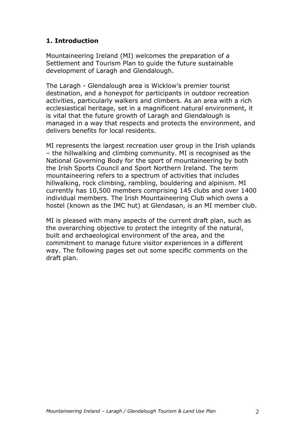# **1. Introduction**

Mountaineering Ireland (MI) welcomes the preparation of a Settlement and Tourism Plan to guide the future sustainable development of Laragh and Glendalough.

The Laragh - Glendalough area is Wicklow's premier tourist destination, and a honeypot for participants in outdoor recreation activities, particularly walkers and climbers. As an area with a rich ecclesiastical heritage, set in a magnificent natural environment, it is vital that the future growth of Laragh and Glendalough is managed in a way that respects and protects the environment, and delivers benefits for local residents.

MI represents the largest recreation user group in the Irish uplands – the hillwalking and climbing community. MI is recognised as the National Governing Body for the sport of mountaineering by both the Irish Sports Council and Sport Northern Ireland. The term mountaineering refers to a spectrum of activities that includes hillwalking, rock climbing, rambling, bouldering and alpinism. MI currently has 10,500 members comprising 145 clubs and over 1400 individual members. The Irish Mountaineering Club which owns a hostel (known as the IMC hut) at Glendasan, is an MI member club.

MI is pleased with many aspects of the current draft plan, such as the overarching objective to protect the integrity of the natural, built and archaeological environment of the area, and the commitment to manage future visitor experiences in a different way. The following pages set out some specific comments on the draft plan.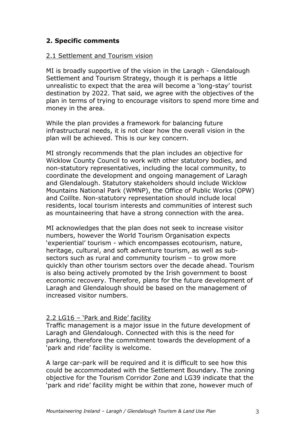# **2. Specific comments**

#### 2.1 Settlement and Tourism vision

MI is broadly supportive of the vision in the Laragh - Glendalough Settlement and Tourism Strategy, though it is perhaps a little unrealistic to expect that the area will become a 'long-stay' tourist destination by 2022. That said, we agree with the objectives of the plan in terms of trying to encourage visitors to spend more time and money in the area.

While the plan provides a framework for balancing future infrastructural needs, it is not clear how the overall vision in the plan will be achieved. This is our key concern.

MI strongly recommends that the plan includes an objective for Wicklow County Council to work with other statutory bodies, and non-statutory representatives, including the local community, to coordinate the development and ongoing management of Laragh and Glendalough. Statutory stakeholders should include Wicklow Mountains National Park (WMNP), the Office of Public Works (OPW) and Coillte. Non-statutory representation should include local residents, local tourism interests and communities of interest such as mountaineering that have a strong connection with the area.

MI acknowledges that the plan does not seek to increase visitor numbers, however the World Tourism Organisation expects 'experiential' tourism - which encompasses ecotourism, nature, heritage, cultural, and soft adventure tourism, as well as subsectors such as rural and community tourism – to grow more quickly than other tourism sectors over the decade ahead. Tourism is also being actively promoted by the Irish government to boost economic recovery. Therefore, plans for the future development of Laragh and Glendalough should be based on the management of increased visitor numbers.

#### 2.2 LG16 – 'Park and Ride' facility

Traffic management is a major issue in the future development of Laragh and Glendalough. Connected with this is the need for parking, therefore the commitment towards the development of a 'park and ride' facility is welcome.

A large car-park will be required and it is difficult to see how this could be accommodated with the Settlement Boundary. The zoning objective for the Tourism Corridor Zone and LG39 indicate that the 'park and ride' facility might be within that zone, however much of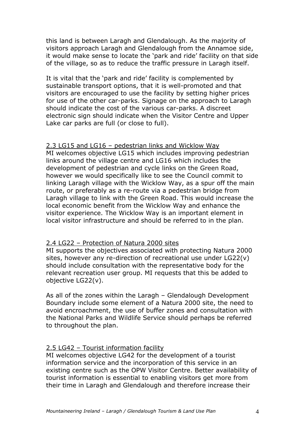this land is between Laragh and Glendalough. As the majority of visitors approach Laragh and Glendalough from the Annamoe side, it would make sense to locate the 'park and ride' facility on that side of the village, so as to reduce the traffic pressure in Laragh itself.

It is vital that the 'park and ride' facility is complemented by sustainable transport options, that it is well-promoted and that visitors are encouraged to use the facility by setting higher prices for use of the other car-parks. Signage on the approach to Laragh should indicate the cost of the various car-parks. A discreet electronic sign should indicate when the Visitor Centre and Upper Lake car parks are full (or close to full).

#### 2.3 LG15 and LG16 – pedestrian links and Wicklow Way

MI welcomes objective LG15 which includes improving pedestrian links around the village centre and LG16 which includes the development of pedestrian and cycle links on the Green Road, however we would specifically like to see the Council commit to linking Laragh village with the Wicklow Way, as a spur off the main route, or preferably as a re-route via a pedestrian bridge from Laragh village to link with the Green Road. This would increase the local economic benefit from the Wicklow Way and enhance the visitor experience. The Wicklow Way is an important element in local visitor infrastructure and should be referred to in the plan.

#### 2.4 LG22 – Protection of Natura 2000 sites

MI supports the objectives associated with protecting Natura 2000 sites, however any re-direction of recreational use under LG22(v) should include consultation with the representative body for the relevant recreation user group. MI requests that this be added to objective LG22(v).

As all of the zones within the Laragh – Glendalough Development Boundary include some element of a Natura 2000 site, the need to avoid encroachment, the use of buffer zones and consultation with the National Parks and Wildlife Service should perhaps be referred to throughout the plan.

## 2.5 LG42 – Tourist information facility

MI welcomes objective LG42 for the development of a tourist information service and the incorporation of this service in an existing centre such as the OPW Visitor Centre. Better availability of tourist information is essential to enabling visitors get more from their time in Laragh and Glendalough and therefore increase their